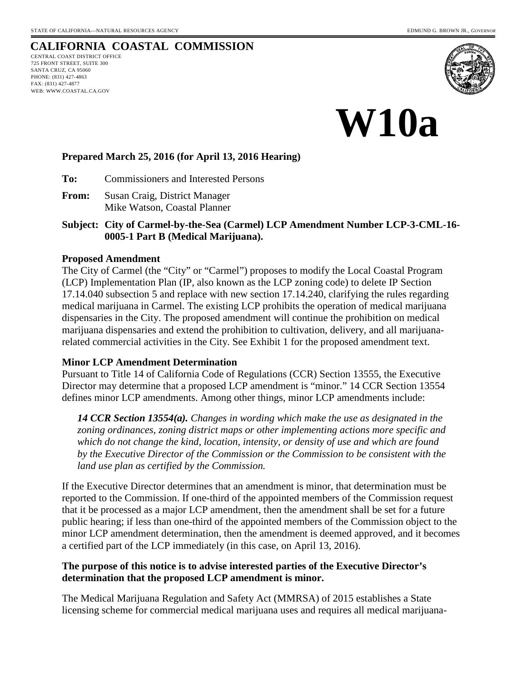## **CALIFORNIA COASTAL COMMISSION**

CENTRAL COAST DISTRICT OFFICE 725 FRONT STREET, SUITE 300 SANTA CRUZ, CA 95060 PHONE: (831) 427-4863 FAX: (831) 427-4877 WEB: WWW.COASTAL.CA.GOV





### **Prepared March 25, 2016 (for April 13, 2016 Hearing)**

**To:** Commissioners and Interested Persons

- **From:** Susan Craig, District Manager Mike Watson, Coastal Planner
- **Subject: City of Carmel-by-the-Sea (Carmel) LCP Amendment Number LCP-3-CML-16- 0005-1 Part B (Medical Marijuana).**

#### **Proposed Amendment**

The City of Carmel (the "City" or "Carmel") proposes to modify the Local Coastal Program (LCP) Implementation Plan (IP, also known as the LCP zoning code) to delete IP Section 17.14.040 subsection 5 and replace with new section 17.14.240, clarifying the rules regarding medical marijuana in Carmel. The existing LCP prohibits the operation of medical marijuana dispensaries in the City. The proposed amendment will continue the prohibition on medical marijuana dispensaries and extend the prohibition to cultivation, delivery, and all marijuanarelated commercial activities in the City. See Exhibit 1 for the proposed amendment text.

#### **Minor LCP Amendment Determination**

Pursuant to Title 14 of California Code of Regulations (CCR) Section 13555, the Executive Director may determine that a proposed LCP amendment is "minor." 14 CCR Section 13554 defines minor LCP amendments. Among other things, minor LCP amendments include:

*14 CCR Section 13554(a). Changes in wording which make the use as designated in the zoning ordinances, zoning district maps or other implementing actions more specific and which do not change the kind, location, intensity, or density of use and which are found by the Executive Director of the Commission or the Commission to be consistent with the land use plan as certified by the Commission.* 

If the Executive Director determines that an amendment is minor, that determination must be reported to the Commission. If one-third of the appointed members of the Commission request that it be processed as a major LCP amendment, then the amendment shall be set for a future public hearing; if less than one-third of the appointed members of the Commission object to the minor LCP amendment determination, then the amendment is deemed approved, and it becomes a certified part of the LCP immediately (in this case, on April 13, 2016).

## **The purpose of this notice is to advise interested parties of the Executive Director's determination that the proposed LCP amendment is minor.**

The Medical Marijuana Regulation and Safety Act (MMRSA) of 2015 establishes a State licensing scheme for commercial medical marijuana uses and requires all medical marijuana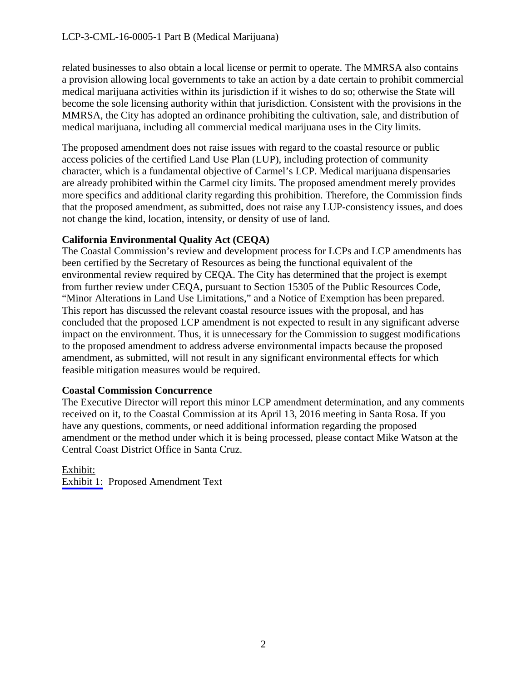related businesses to also obtain a local license or permit to operate. The MMRSA also contains a provision allowing local governments to take an action by a date certain to prohibit commercial medical marijuana activities within its jurisdiction if it wishes to do so; otherwise the State will become the sole licensing authority within that jurisdiction. Consistent with the provisions in the MMRSA, the City has adopted an ordinance prohibiting the cultivation, sale, and distribution of medical marijuana, including all commercial medical marijuana uses in the City limits.

The proposed amendment does not raise issues with regard to the coastal resource or public access policies of the certified Land Use Plan (LUP), including protection of community character, which is a fundamental objective of Carmel's LCP. Medical marijuana dispensaries are already prohibited within the Carmel city limits. The proposed amendment merely provides more specifics and additional clarity regarding this prohibition. Therefore, the Commission finds that the proposed amendment, as submitted, does not raise any LUP-consistency issues, and does not change the kind, location, intensity, or density of use of land.

## **California Environmental Quality Act (CEQA)**

The Coastal Commission's review and development process for LCPs and LCP amendments has been certified by the Secretary of Resources as being the functional equivalent of the environmental review required by CEQA. The City has determined that the project is exempt from further review under CEQA, pursuant to Section 15305 of the Public Resources Code, "Minor Alterations in Land Use Limitations," and a Notice of Exemption has been prepared. This report has discussed the relevant coastal resource issues with the proposal, and has concluded that the proposed LCP amendment is not expected to result in any significant adverse impact on the environment. Thus, it is unnecessary for the Commission to suggest modifications to the proposed amendment to address adverse environmental impacts because the proposed amendment, as submitted, will not result in any significant environmental effects for which feasible mitigation measures would be required.

## **Coastal Commission Concurrence**

The Executive Director will report this minor LCP amendment determination, and any comments received on it, to the Coastal Commission at its April 13, 2016 meeting in Santa Rosa. If you have any questions, comments, or need additional information regarding the proposed amendment or the method under which it is being processed, please contact Mike Watson at the Central Coast District Office in Santa Cruz.

## Exhibit:

[Exhibit 1:](#page-2-0) Proposed Amendment Text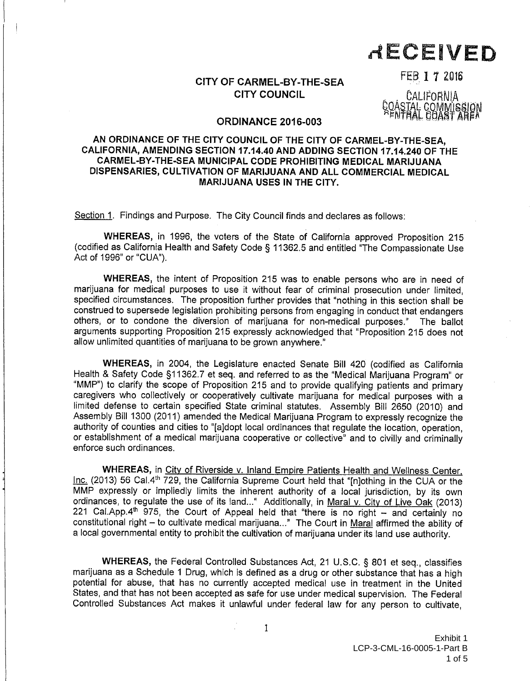# RECEIVED

## CITY OF CARMEL-BY-THE-SEA **CITY COUNCIL**

FEB 1 7 2016

CALIFORNIA STAL COMMISSION IAL COAST AREA

#### **ORDINANCE 2016-003**

#### <span id="page-2-0"></span>AN ORDINANCE OF THE CITY COUNCIL OF THE CITY OF CARMEL-BY-THE-SEA, CALIFORNIA, AMENDING SECTION 17.14.40 AND ADDING SECTION 17.14.240 OF THE CARMEL-BY-THE-SEA MUNICIPAL CODE PROHIBITING MEDICAL MARIJUANA DISPENSARIES, CULTIVATION OF MARIJUANA AND ALL COMMERCIAL MEDICAL **MARIJUANA USES IN THE CITY.**

Section 1. Findings and Purpose. The City Council finds and declares as follows:

WHEREAS, in 1996, the voters of the State of California approved Proposition 215 (codified as California Health and Safety Code § 11362.5 and entitled "The Compassionate Use Act of 1996" or "CUA").

WHEREAS, the intent of Proposition 215 was to enable persons who are in need of marijuana for medical purposes to use it without fear of criminal prosecution under limited. specified circumstances. The proposition further provides that "nothing in this section shall be construed to supersede legislation prohibiting persons from engaging in conduct that endangers others, or to condone the diversion of marijuana for non-medical purposes." The ballot arguments supporting Proposition 215 expressly acknowledged that "Proposition 215 does not allow unlimited quantities of marijuana to be grown anywhere."

WHEREAS, in 2004, the Legislature enacted Senate Bill 420 (codified as California Health & Safety Code §11362.7 et seq. and referred to as the "Medical Marijuana Program" or "MMP") to clarify the scope of Proposition 215 and to provide qualifying patients and primary caregivers who collectively or cooperatively cultivate marijuana for medical purposes with a limited defense to certain specified State criminal statutes. Assembly Bill 2650 (2010) and Assembly Bill 1300 (2011) amended the Medical Marijuana Program to expressly recognize the authority of counties and cities to "[aldopt local ordinances that requlate the location, operation, or establishment of a medical marijuana cooperative or collective" and to civilly and criminally enforce such ordinances.

WHEREAS, in City of Riverside v. Inland Empire Patients Health and Wellness Center, Inc. (2013) 56 Cal.4<sup>th</sup> 729, the California Supreme Court held that "[n]othing in the CUA or the MMP expressly or impliedly limits the inherent authority of a local jurisdiction, by its own ordinances, to regulate the use of its land..." Additionally, in Maral v. City of Live Oak (2013) 221 Cal.App.4th 975, the Court of Appeal held that "there is no right - and certainly no constitutional right - to cultivate medical marijuana..." The Court in Maral affirmed the ability of a local governmental entity to prohibit the cultivation of marijuana under its land use authority.

WHEREAS, the Federal Controlled Substances Act, 21 U.S.C. § 801 et seq., classifies marijuana as a Schedule 1 Drug, which is defined as a drug or other substance that has a high potential for abuse, that has no currently accepted medical use in treatment in the United States, and that has not been accepted as safe for use under medical supervision. The Federal Controlled Substances Act makes it unlawful under federal law for any person to cultivate,

 $\mathbf{1}$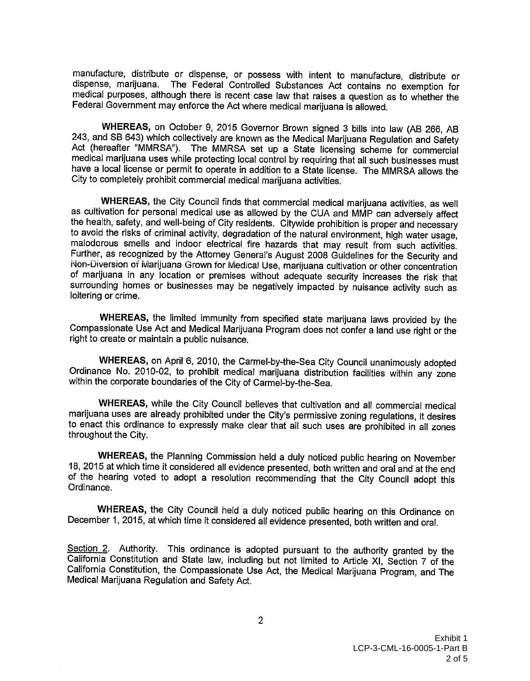manufacture, distribute or dispense, or possess with intent to manufacture, distribute or dispense, marijuana. The Federal Controlled Substances Act contains no exemption for medical purposes, although there is recent case law that raises a question as to whether the Federal Government may enforce the Act where medical marijuana is allowed.

WHEREAS, on October 9, 2015 Governor Brown signed 3 bills into law (AB 266, AB 243. and SB 643) which collectively are known as the Medical Marijuana Regulation and Safety Act (hereafter "MMRSA"). The MMRSA set up a State licensing scheme for commercial medical marijuana uses while protecting local control by requiring that all such businesses must have a local license or permit to operate in addition to a State license. The MMRSA allows the City to completely prohibit commercial medical marijuana activities.

WHEREAS, the City Council finds that commercial medical marijuana activities, as well as cultivation for personal medical use as allowed by the CUA and MMP can adversely affect the health, safety, and well-being of City residents. Citywide prohibition is proper and necessary to avoid the risks of criminal activity, degradation of the natural environment, high water usage, malodorous smells and indoor electrical fire hazards that may result from such activities. Further, as recognized by the Attorney General's August 2008 Guidelines for the Security and Non-Diversion of Marijuana Grown for Medical Use, marijuana cultivation or other concentration of marijuana in any location or premises without adequate security increases the risk that surrounding homes or businesses may be negatively impacted by nuisance activity such as loitering or crime.

WHEREAS, the limited immunity from specified state marijuana laws provided by the Compassionate Use Act and Medical Marijuana Program does not confer a land use right or the right to create or maintain a public nuisance.

WHEREAS, on April 6, 2010, the Carmel-by-the-Sea City Council unanimously adopted Ordinance No. 2010-02, to prohibit medical marijuana distribution facilities within any zone within the corporate boundaries of the City of Carmel-by-the-Sea.

WHEREAS, while the City Council believes that cultivation and all commercial medical marijuana uses are already prohibited under the City's permissive zoning regulations, it desires to enact this ordinance to expressly make clear that all such uses are prohibited in all zones throughout the City.

WHEREAS, the Planning Commission held a duly noticed public hearing on November 18, 2015 at which time it considered all evidence presented, both written and oral and at the end of the hearing voted to adopt a resolution recommending that the City Council adopt this Ordinance.

WHEREAS, the City Council held a duly noticed public hearing on this Ordinance on December 1, 2015, at which time it considered all evidence presented, both written and oral.

Section 2. Authority. This ordinance is adopted pursuant to the authority granted by the California Constitution and State law, including but not limited to Article XI, Section 7 of the California Constitution, the Compassionate Use Act, the Medical Marijuana Program, and The Medical Marijuana Regulation and Safety Act.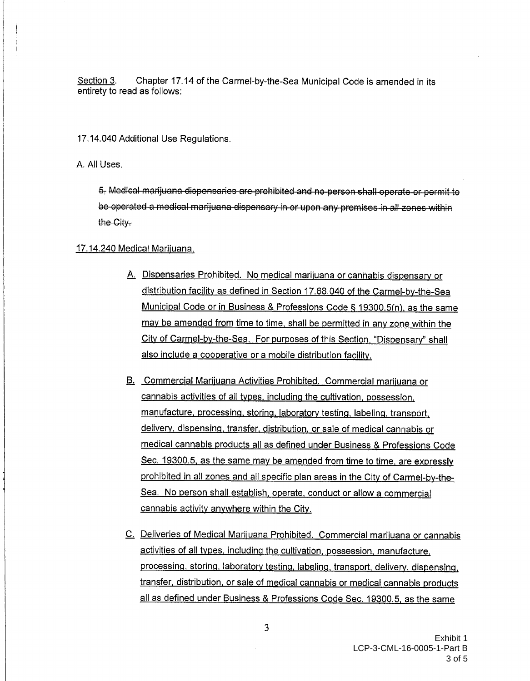Section 3. Chapter 17.14 of the Carmel-by-the-Sea Municipal Code is amended in its entirety to read as follows:

17.14.040 Additional Use Regulations.

A. All Uses.

5. Medical marijuana dispensaries are prohibited and no person shall operate or permit to be operated a medical marijuana dispensary in or upon any premises in all zones within the City.

#### 17.14.240 Medical Marijuana.

- A. Dispensaries Prohibited. No medical marijuana or cannabis dispensary or distribution facility as defined in Section 17.68.040 of the Carmel-by-the-Sea Municipal Code or in Business & Professions Code § 19300.5(n), as the same may be amended from time to time, shall be permitted in any zone within the City of Carmel-by-the-Sea. For purposes of this Section, "Dispensary" shall also include a cooperative or a mobile distribution facility.
- B. Commercial Marijuana Activities Prohibited. Commercial marijuana or cannabis activities of all types, including the cultivation, possession, manufacture, processing, storing, laboratory testing, labeling, transport, delivery, dispensing, transfer, distribution, or sale of medical cannabis or medical cannabis products all as defined under Business & Professions Code Sec. 19300.5, as the same may be amended from time to time, are expressly prohibited in all zones and all specific plan areas in the City of Carmel-by-the-Sea. No person shall establish, operate, conduct or allow a commercial cannabis activity anywhere within the City.
- C. Deliveries of Medical Marijuana Prohibited. Commercial marijuana or cannabis activities of all types, including the cultivation, possession, manufacture, processing, storing, laboratory testing, labeling, transport, delivery, dispensing, transfer, distribution, or sale of medical cannabis or medical cannabis products all as defined under Business & Professions Code Sec. 19300.5, as the same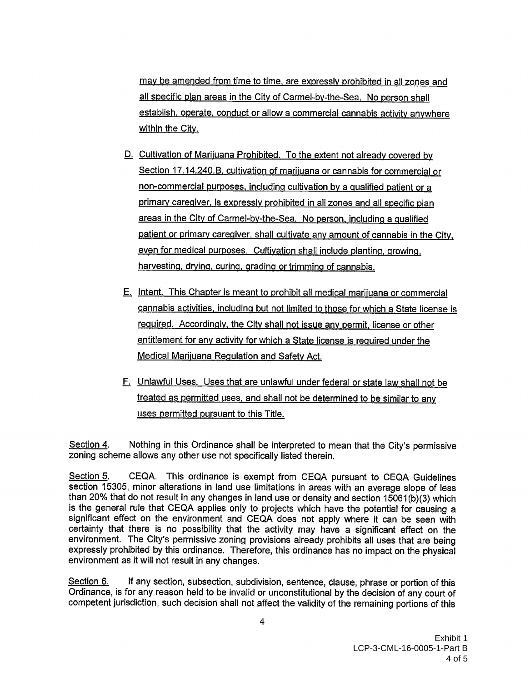may be amended from time to time, are expressly prohibited in all zones and all specific plan areas in the City of Carmel-by-the-Sea. No person shall establish, operate, conduct or allow a commercial cannabis activity anywhere within the City.

- D. Cultivation of Marijuana Prohibited. To the extent not already covered by Section 17.14.240.B, cultivation of marijuana or cannabis for commercial or non-commercial purposes, including cultivation by a qualified patient or a primary caregiver, is expressly prohibited in all zones and all specific plan areas in the City of Carmel-by-the-Sea. No person, including a qualified patient or primary caregiver, shall cultivate any amount of cannabis in the City. even for medical purposes. Cultivation shall include planting, growing, harvesting, drying, curing, grading or trimming of cannabis.
- E. Intent. This Chapter is meant to prohibit all medical marijuana or commercial cannabis activities, including but not limited to those for which a State license is required. Accordingly, the City shall not issue any permit, license or other entitlement for any activity for which a State license is required under the Medical Marijuana Regulation and Safety Act.
- F. Unlawful Uses. Uses that are unlawful under federal or state law shall not be treated as permitted uses, and shall not be determined to be similar to any uses permitted pursuant to this Title.

Nothing in this Ordinance shall be interpreted to mean that the City's permissive Section 4. zoning scheme allows any other use not specifically listed therein.

CEQA. This ordinance is exempt from CEQA pursuant to CEQA Guidelines Section 5. section 15305, minor alterations in land use limitations in areas with an average slope of less than 20% that do not result in any changes in land use or density and section 15061(b)(3) which is the general rule that CEQA applies only to projects which have the potential for causing a significant effect on the environment and CEQA does not apply where it can be seen with certainty that there is no possibility that the activity may have a significant effect on the environment. The City's permissive zoning provisions already prohibits all uses that are being expressly prohibited by this ordinance. Therefore, this ordinance has no impact on the physical environment as it will not result in any changes.

Section 6. If any section, subsection, subdivision, sentence, clause, phrase or portion of this Ordinance, is for any reason held to be invalid or unconstitutional by the decision of any court of competent jurisdiction, such decision shall not affect the validity of the remaining portions of this